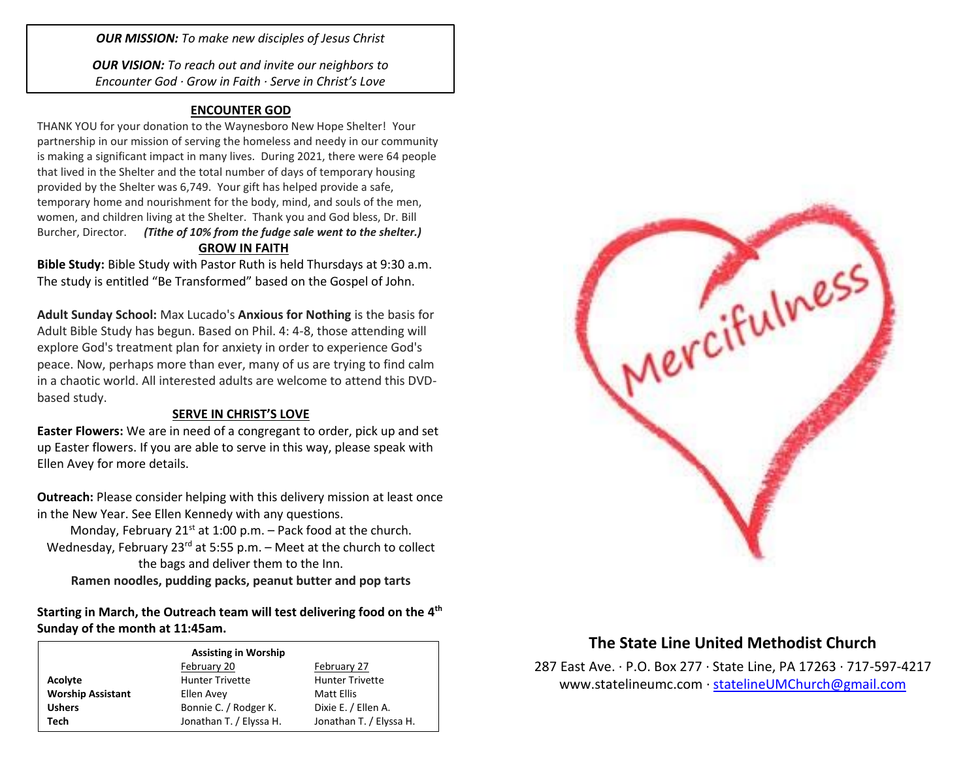*OUR MISSION: To make new disciples of Jesus Christ*

*OUR VISION: To reach out and invite our neighbors to Encounter God · Grow in Faith · Serve in Christ's Love*

## **ENCOUNTER GOD**

THANK YOU for your donation to the Waynesboro New Hope Shelter! Your partnership in our mission of serving the homeless and needy in our community is making a significant impact in many lives. During 2021, there were 64 people that lived in the Shelter and the total number of days of temporary housing provided by the Shelter was 6,749. Your gift has helped provide a safe, temporary home and nourishment for the body, mind, and souls of the men, women, and children living at the Shelter. Thank you and God bless, Dr. Bill Burcher, Director. *(Tithe of 10% from the fudge sale went to the shelter.)* **GROW IN FAITH**

**Bible Study:** Bible Study with Pastor Ruth is held Thursdays at 9:30 a.m. The study is entitled "Be Transformed" based on the Gospel of John.

**Adult Sunday School:** Max Lucado's **Anxious for Nothing** is the basis for Adult Bible Study has begun. Based on Phil. 4: 4-8, those attending will explore God's treatment plan for anxiety in order to experience God's peace. Now, perhaps more than ever, many of us are trying to find calm in a chaotic world. All interested adults are welcome to attend this DVDbased study.

## **SERVE IN CHRIST'S LOVE**

**Easter Flowers:** We are in need of a congregant to order, pick up and set up Easter flowers. If you are able to serve in this way, please speak with Ellen Avey for more details.

**Outreach:** Please consider helping with this delivery mission at least once in the New Year. See Ellen Kennedy with any questions.

Monday, February 21 $st$  at 1:00 p.m. – Pack food at the church. Wednesday, February 23 $^{rd}$  at 5:55 p.m. – Meet at the church to collect the bags and deliver them to the Inn. **Ramen noodles, pudding packs, peanut butter and pop tarts**

Starting in March, the Outreach team will test delivering food on the 4<sup>th</sup> **Sunday of the month at 11:45am.** 

| <b>Assisting in Worship</b> |                         |                         |  |  |
|-----------------------------|-------------------------|-------------------------|--|--|
|                             | February 20             | February 27             |  |  |
| Acolyte                     | <b>Hunter Trivette</b>  | <b>Hunter Trivette</b>  |  |  |
| <b>Worship Assistant</b>    | Ellen Avey              | Matt Ellis              |  |  |
| <b>Ushers</b>               | Bonnie C. / Rodger K.   | Dixie E. / Ellen A.     |  |  |
| Tech                        | Jonathan T. / Elyssa H. | Jonathan T. / Elyssa H. |  |  |



## **The State Line United Methodist Church**

287 East Ave. · P.O. Box 277 · State Line, PA 17263 · 717-597-4217 [www.statelineumc.com](http://www.statelineumc.com/) · [statelineUMChurch@gmail.com](mailto:statelineUMChurch@gmail.com)